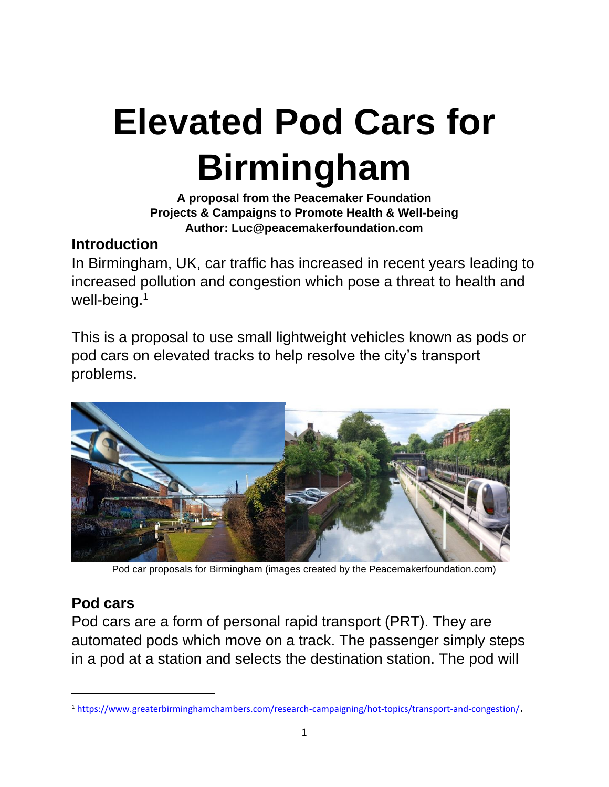# **Elevated Pod Cars for Birmingham**

#### **A proposal from the Peacemaker Foundation Projects & Campaigns to Promote Health & Well-being Author: Luc@peacemakerfoundation.com**

#### **Introduction**

In Birmingham, UK, car traffic has increased in recent years leading to increased pollution and congestion which pose a threat to health and well-being.<sup>1</sup>

This is a proposal to use small lightweight vehicles known as pods or pod cars on elevated tracks to help resolve the city's transport problems.



Pod car proposals for Birmingham (images created by the Peacemakerfoundation.com)

# **Pod cars**

Pod cars are a form of personal rapid transport (PRT). They are automated pods which move on a track. The passenger simply steps in a pod at a station and selects the destination station. The pod will

<sup>1</sup> <https://www.greaterbirminghamchambers.com/research-campaigning/hot-topics/transport-and-congestion/>.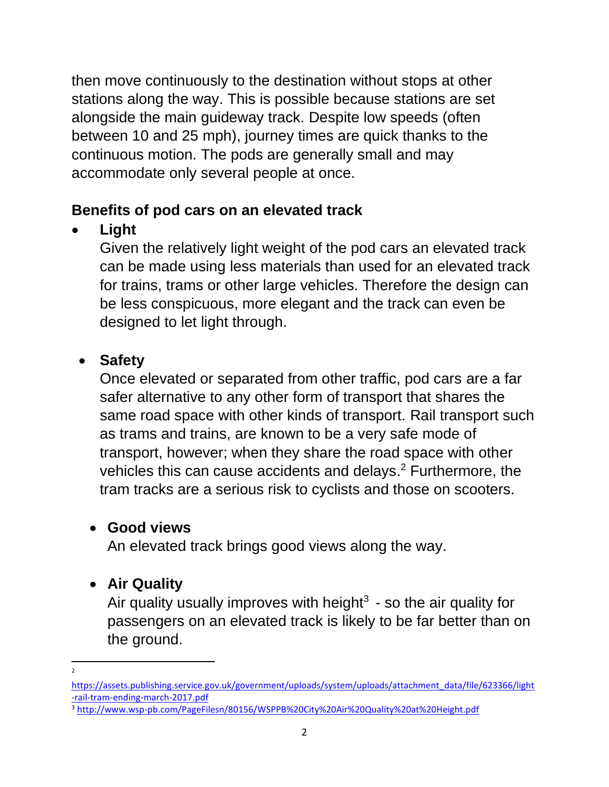then move continuously to the destination without stops at other stations along the way. This is possible because stations are set alongside the main guideway track. Despite low speeds (often between 10 and 25 mph), journey times are quick thanks to the continuous motion. The pods are generally small and may accommodate only several people at once.

#### **Benefits of pod cars on an elevated track**

• **Light**

Given the relatively light weight of the pod cars an elevated track can be made using less materials than used for an elevated track for trains, trams or other large vehicles. Therefore the design can be less conspicuous, more elegant and the track can even be designed to let light through.

# • **Safety**

Once elevated or separated from other traffic, pod cars are a far safer alternative to any other form of transport that shares the same road space with other kinds of transport. Rail transport such as trams and trains, are known to be a very safe mode of transport, however; when they share the road space with other vehicles this can cause accidents and delays.<sup>2</sup> Furthermore, the tram tracks are a serious risk to cyclists and those on scooters.

# • **Good views**

An elevated track brings good views along the way.

# • **Air Quality**

Air quality usually improves with height<sup>3</sup> - so the air quality for passengers on an elevated track is likely to be far better than on the ground.

<sup>2</sup>

[https://assets.publishing.service.gov.uk/government/uploads/system/uploads/attachment\\_data/file/623366/light](https://assets.publishing.service.gov.uk/government/uploads/system/uploads/attachment_data/file/623366/light-rail-tram-ending-march-2017.pdf) [-rail-tram-ending-march-2017.pdf](https://assets.publishing.service.gov.uk/government/uploads/system/uploads/attachment_data/file/623366/light-rail-tram-ending-march-2017.pdf)

<sup>3</sup> <http://www.wsp-pb.com/PageFilesn/80156/WSPPB%20City%20Air%20Quality%20at%20Height.pdf>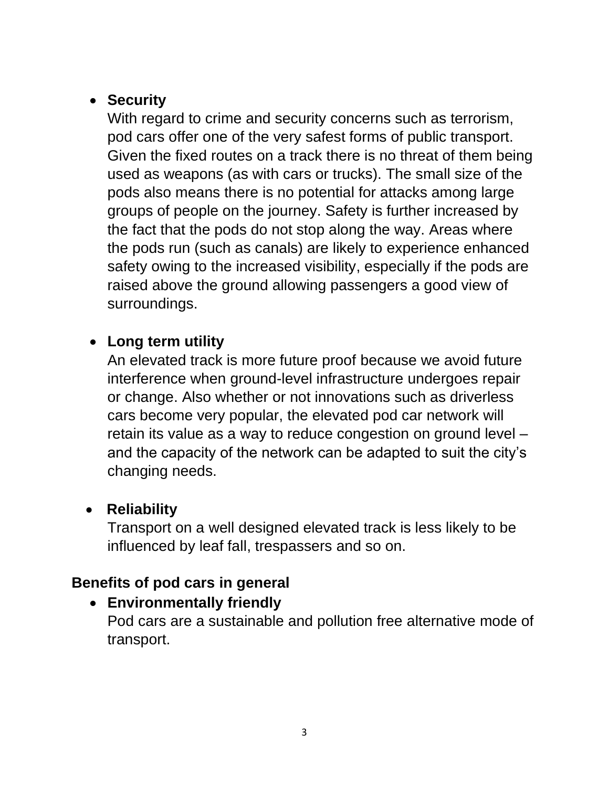#### • **Security**

With regard to crime and security concerns such as terrorism, pod cars offer one of the very safest forms of public transport. Given the fixed routes on a track there is no threat of them being used as weapons (as with cars or trucks). The small size of the pods also means there is no potential for attacks among large groups of people on the journey. Safety is further increased by the fact that the pods do not stop along the way. Areas where the pods run (such as canals) are likely to experience enhanced safety owing to the increased visibility, especially if the pods are raised above the ground allowing passengers a good view of surroundings.

#### • **Long term utility**

An elevated track is more future proof because we avoid future interference when ground-level infrastructure undergoes repair or change. Also whether or not innovations such as driverless cars become very popular, the elevated pod car network will retain its value as a way to reduce congestion on ground level – and the capacity of the network can be adapted to suit the city's changing needs.

# • **Reliability**

Transport on a well designed elevated track is less likely to be influenced by leaf fall, trespassers and so on.

# **Benefits of pod cars in general**

# • **Environmentally friendly**

Pod cars are a sustainable and pollution free alternative mode of transport.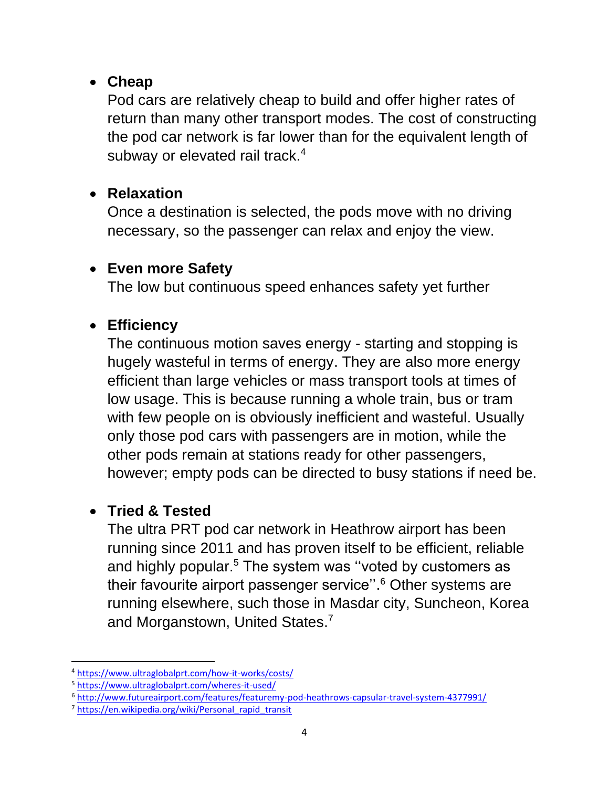#### • **Cheap**

Pod cars are relatively cheap to build and offer higher rates of return than many other transport modes. The cost of constructing the pod car network is far lower than for the equivalent length of subway or elevated rail track.<sup>4</sup>

#### • **Relaxation**

Once a destination is selected, the pods move with no driving necessary, so the passenger can relax and enjoy the view.

#### • **Even more Safety**

The low but continuous speed enhances safety yet further

#### • **Efficiency**

The continuous motion saves energy - starting and stopping is hugely wasteful in terms of energy. They are also more energy efficient than large vehicles or mass transport tools at times of low usage. This is because running a whole train, bus or tram with few people on is obviously inefficient and wasteful. Usually only those pod cars with passengers are in motion, while the other pods remain at stations ready for other passengers, however; empty pods can be directed to busy stations if need be.

#### • **Tried & Tested**

The ultra PRT pod car network in Heathrow airport has been running since 2011 and has proven itself to be efficient, reliable and highly popular.<sup>5</sup> The system was "voted by customers as their favourite airport passenger service''. <sup>6</sup> Other systems are running elsewhere, such those in Masdar city, Suncheon, Korea and Morganstown, United States.<sup>7</sup>

<sup>4</sup> <https://www.ultraglobalprt.com/how-it-works/costs/>

<sup>5</sup> <https://www.ultraglobalprt.com/wheres-it-used/>

<sup>6</sup> <http://www.futureairport.com/features/featuremy-pod-heathrows-capsular-travel-system-4377991/>

<sup>7</sup> [https://en.wikipedia.org/wiki/Personal\\_rapid\\_transit](https://en.wikipedia.org/wiki/Personal_rapid_transit)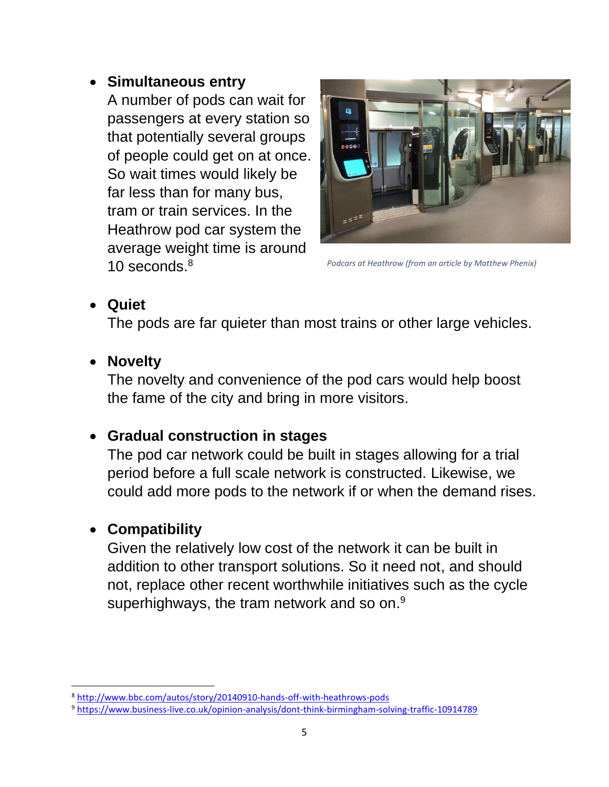#### • **Simultaneous entry**

A number of pods can wait for passengers at every station so that potentially several groups of people could get on at once. So wait times would likely be far less than for many bus, tram or train services. In the Heathrow pod car system the average weight time is around 10 seconds. 8



*Podcars at Heathrow (from an article by Matthew Phenix)*

#### • **Quiet**

The pods are far quieter than most trains or other large vehicles.

#### • **Novelty**

The novelty and convenience of the pod cars would help boost the fame of the city and bring in more visitors.

#### • **Gradual construction in stages**

The pod car network could be built in stages allowing for a trial period before a full scale network is constructed. Likewise, we could add more pods to the network if or when the demand rises.

# • **Compatibility**

Given the relatively low cost of the network it can be built in addition to other transport solutions. So it need not, and should not, replace other recent worthwhile initiatives such as the cycle superhighways, the tram network and so on.<sup>9</sup>

<sup>8</sup> <http://www.bbc.com/autos/story/20140910-hands-off-with-heathrows-pods>

<sup>9</sup> <https://www.business-live.co.uk/opinion-analysis/dont-think-birmingham-solving-traffic-10914789>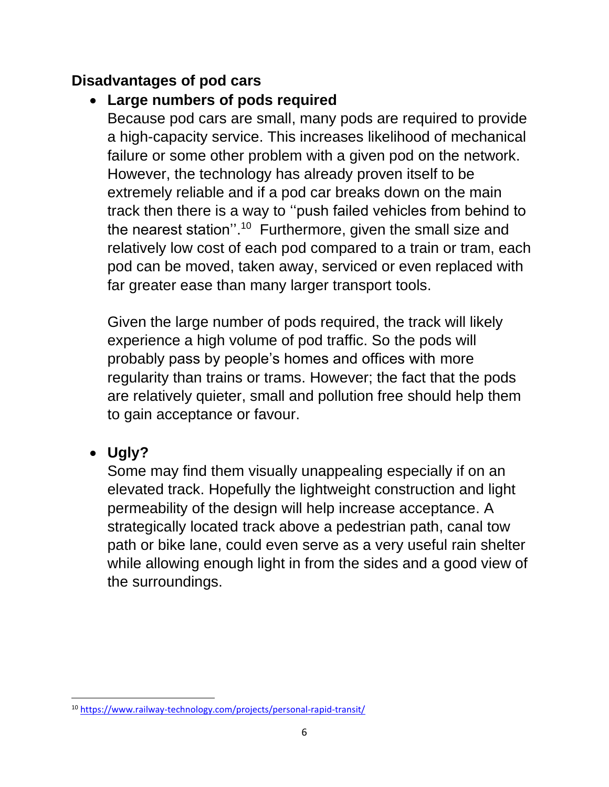#### **Disadvantages of pod cars**

#### • **Large numbers of pods required**

Because pod cars are small, many pods are required to provide a high-capacity service. This increases likelihood of mechanical failure or some other problem with a given pod on the network. However, the technology has already proven itself to be extremely reliable and if a pod car breaks down on the main track then there is a way to ''push failed vehicles from behind to the nearest station".<sup>10</sup> Furthermore, given the small size and relatively low cost of each pod compared to a train or tram, each pod can be moved, taken away, serviced or even replaced with far greater ease than many larger transport tools.

Given the large number of pods required, the track will likely experience a high volume of pod traffic. So the pods will probably pass by people's homes and offices with more regularity than trains or trams. However; the fact that the pods are relatively quieter, small and pollution free should help them to gain acceptance or favour.

#### • **Ugly?**

Some may find them visually unappealing especially if on an elevated track. Hopefully the lightweight construction and light permeability of the design will help increase acceptance. A strategically located track above a pedestrian path, canal tow path or bike lane, could even serve as a very useful rain shelter while allowing enough light in from the sides and a good view of the surroundings.

<sup>10</sup> <https://www.railway-technology.com/projects/personal-rapid-transit/>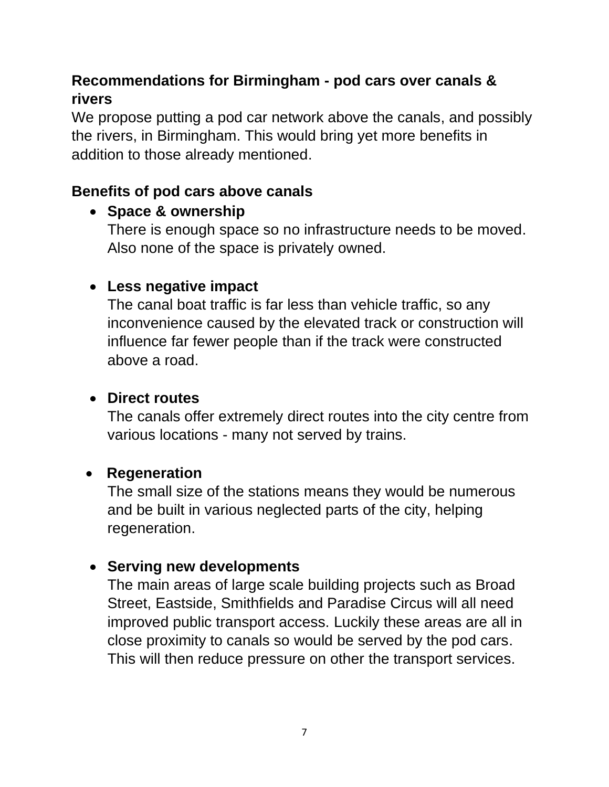# **Recommendations for Birmingham - pod cars over canals & rivers**

We propose putting a pod car network above the canals, and possibly the rivers, in Birmingham. This would bring yet more benefits in addition to those already mentioned.

#### **Benefits of pod cars above canals**

#### • **Space & ownership**

There is enough space so no infrastructure needs to be moved. Also none of the space is privately owned.

#### • **Less negative impact**

The canal boat traffic is far less than vehicle traffic, so any inconvenience caused by the elevated track or construction will influence far fewer people than if the track were constructed above a road.

#### • **Direct routes**

The canals offer extremely direct routes into the city centre from various locations - many not served by trains.

#### • **Regeneration**

The small size of the stations means they would be numerous and be built in various neglected parts of the city, helping regeneration.

#### • **Serving new developments**

The main areas of large scale building projects such as Broad Street, Eastside, Smithfields and Paradise Circus will all need improved public transport access. Luckily these areas are all in close proximity to canals so would be served by the pod cars. This will then reduce pressure on other the transport services.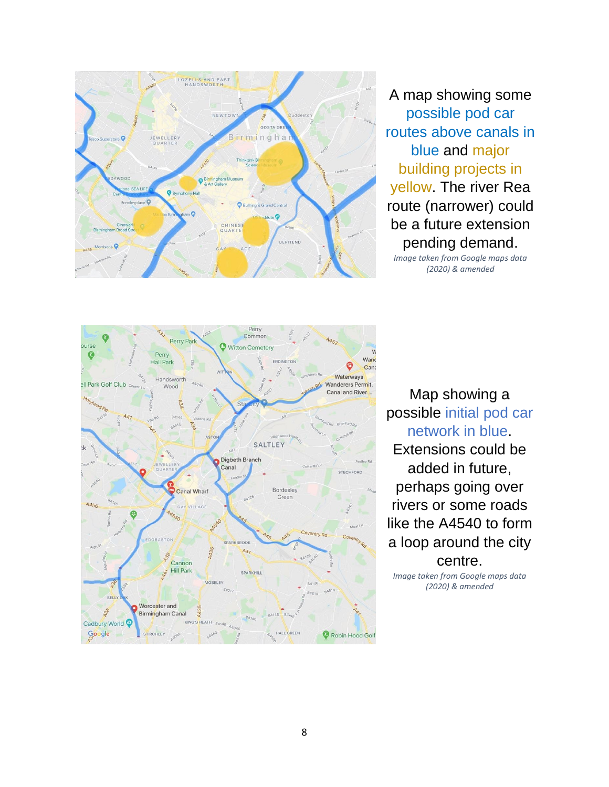

A map showing some possible pod car routes above canals in blue and major building projects in yellow. The river Rea route (narrower) could be a future extension pending demand.

*Image taken from Google maps data (2020) & amended*



Map showing a possible initial pod car network in blue. Extensions could be added in future, perhaps going over rivers or some roads like the A4540 to form a loop around the city centre.

*Image taken from Google maps data (2020) & amended*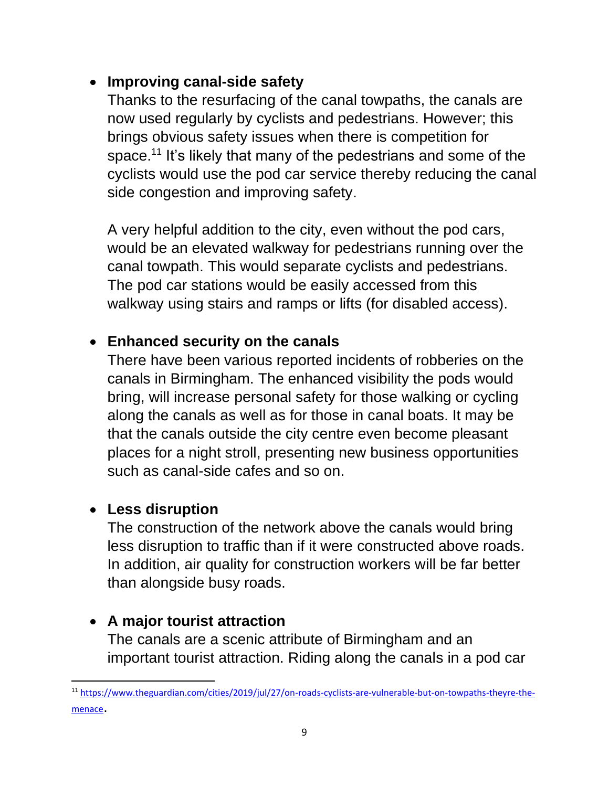#### • **Improving canal-side safety**

Thanks to the resurfacing of the canal towpaths, the canals are now used regularly by cyclists and pedestrians. However; this brings obvious safety issues when there is competition for space.<sup>11</sup> It's likely that many of the pedestrians and some of the cyclists would use the pod car service thereby reducing the canal side congestion and improving safety.

A very helpful addition to the city, even without the pod cars, would be an elevated walkway for pedestrians running over the canal towpath. This would separate cyclists and pedestrians. The pod car stations would be easily accessed from this walkway using stairs and ramps or lifts (for disabled access).

#### • **Enhanced security on the canals**

There have been various reported incidents of robberies on the canals in Birmingham. The enhanced visibility the pods would bring, will increase personal safety for those walking or cycling along the canals as well as for those in canal boats. It may be that the canals outside the city centre even become pleasant places for a night stroll, presenting new business opportunities such as canal-side cafes and so on.

#### • **Less disruption**

The construction of the network above the canals would bring less disruption to traffic than if it were constructed above roads. In addition, air quality for construction workers will be far better than alongside busy roads.

#### • **A major tourist attraction**

The canals are a scenic attribute of Birmingham and an important tourist attraction. Riding along the canals in a pod car

<sup>11</sup> [https://www.theguardian.com/cities/2019/jul/27/on-roads-cyclists-are-vulnerable-but-on-towpaths-theyre-the](https://www.theguardian.com/cities/2019/jul/27/on-roads-cyclists-are-vulnerable-but-on-towpaths-theyre-the-menace)[menace](https://www.theguardian.com/cities/2019/jul/27/on-roads-cyclists-are-vulnerable-but-on-towpaths-theyre-the-menace).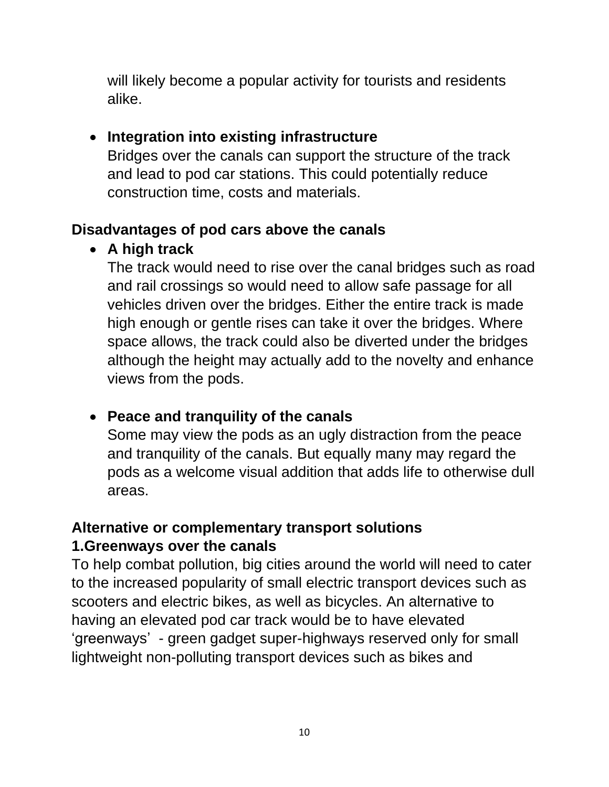will likely become a popular activity for tourists and residents alike.

#### • **Integration into existing infrastructure**

Bridges over the canals can support the structure of the track and lead to pod car stations. This could potentially reduce construction time, costs and materials.

# **Disadvantages of pod cars above the canals**

# • **A high track**

The track would need to rise over the canal bridges such as road and rail crossings so would need to allow safe passage for all vehicles driven over the bridges. Either the entire track is made high enough or gentle rises can take it over the bridges. Where space allows, the track could also be diverted under the bridges although the height may actually add to the novelty and enhance views from the pods.

#### • **Peace and tranquility of the canals**

Some may view the pods as an ugly distraction from the peace and tranquility of the canals. But equally many may regard the pods as a welcome visual addition that adds life to otherwise dull areas.

# **Alternative or complementary transport solutions 1.Greenways over the canals**

To help combat pollution, big cities around the world will need to cater to the increased popularity of small electric transport devices such as scooters and electric bikes, as well as bicycles. An alternative to having an elevated pod car track would be to have elevated 'greenways' - green gadget super-highways reserved only for small lightweight non-polluting transport devices such as bikes and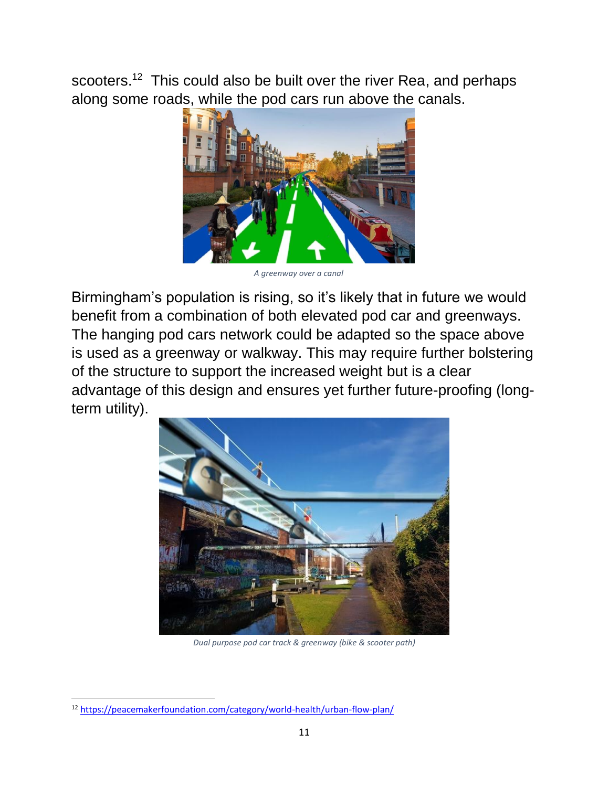scooters.<sup>12</sup> This could also be built over the river Rea, and perhaps along some roads, while the pod cars run above the canals.



*A greenway over a canal*

Birmingham's population is rising, so it's likely that in future we would benefit from a combination of both elevated pod car and greenways. The hanging pod cars network could be adapted so the space above is used as a greenway or walkway. This may require further bolstering of the structure to support the increased weight but is a clear advantage of this design and ensures yet further future-proofing (longterm utility).



*Dual purpose pod car track & greenway (bike & scooter path)*

<sup>12</sup> <https://peacemakerfoundation.com/category/world-health/urban-flow-plan/>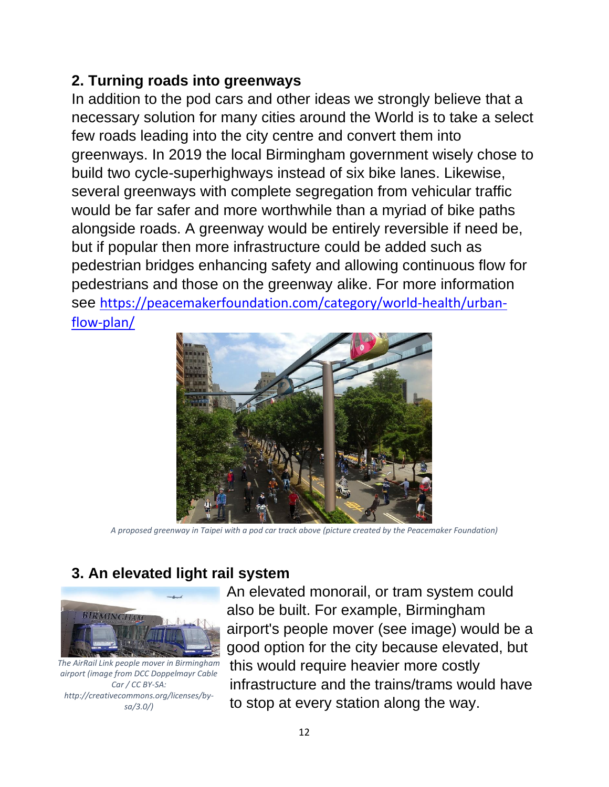#### **2. Turning roads into greenways**

In addition to the pod cars and other ideas we strongly believe that a necessary solution for many cities around the World is to take a select few roads leading into the city centre and convert them into greenways. In 2019 the local Birmingham government wisely chose to build two cycle-superhighways instead of six bike lanes. Likewise, several greenways with complete segregation from vehicular traffic would be far safer and more worthwhile than a myriad of bike paths alongside roads. A greenway would be entirely reversible if need be, but if popular then more infrastructure could be added such as pedestrian bridges enhancing safety and allowing continuous flow for pedestrians and those on the greenway alike. For more information see [https://peacemakerfoundation.com/category/world-health/urban](https://peacemakerfoundation.com/category/world-health/urban-flow-plan/)[flow-plan/](https://peacemakerfoundation.com/category/world-health/urban-flow-plan/)



*A proposed greenway in Taipei with a pod car track above (picture created by the Peacemaker Foundation)*

# **3. An elevated light rail system**



*The AirRail Link people mover in Birmingham airport (image from DCC Doppelmayr Cable Car / CC BY-SA: http://creativecommons.org/licenses/bysa/3.0/)*

An elevated monorail, or tram system could also be built. For example, Birmingham airport's people mover (see image) would be a good option for the city because elevated, but this would require heavier more costly infrastructure and the trains/trams would have to stop at every station along the way.